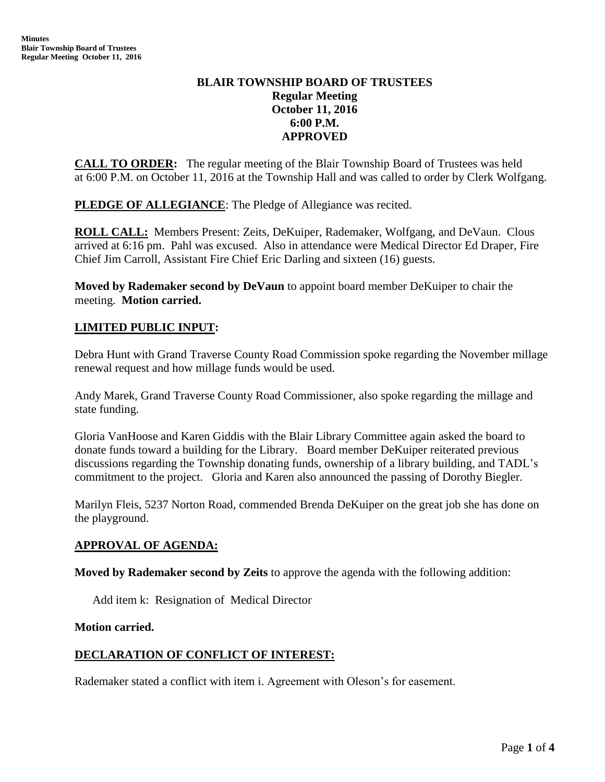# **BLAIR TOWNSHIP BOARD OF TRUSTEES Regular Meeting October 11, 2016 6:00 P.M. APPROVED**

**CALL TO ORDER:** The regular meeting of the Blair Township Board of Trustees was held at 6:00 P.M. on October 11, 2016 at the Township Hall and was called to order by Clerk Wolfgang.

**PLEDGE OF ALLEGIANCE:** The Pledge of Allegiance was recited.

**ROLL CALL:** Members Present: Zeits, DeKuiper, Rademaker, Wolfgang, and DeVaun. Clous arrived at 6:16 pm. Pahl was excused. Also in attendance were Medical Director Ed Draper, Fire Chief Jim Carroll, Assistant Fire Chief Eric Darling and sixteen (16) guests.

**Moved by Rademaker second by DeVaun** to appoint board member DeKuiper to chair the meeting. **Motion carried.**

# **LIMITED PUBLIC INPUT:**

Debra Hunt with Grand Traverse County Road Commission spoke regarding the November millage renewal request and how millage funds would be used.

Andy Marek, Grand Traverse County Road Commissioner, also spoke regarding the millage and state funding.

Gloria VanHoose and Karen Giddis with the Blair Library Committee again asked the board to donate funds toward a building for the Library. Board member DeKuiper reiterated previous discussions regarding the Township donating funds, ownership of a library building, and TADL's commitment to the project. Gloria and Karen also announced the passing of Dorothy Biegler.

Marilyn Fleis, 5237 Norton Road, commended Brenda DeKuiper on the great job she has done on the playground.

# **APPROVAL OF AGENDA:**

**Moved by Rademaker second by Zeits** to approve the agenda with the following addition:

Add item k: Resignation of Medical Director

**Motion carried.**

# **DECLARATION OF CONFLICT OF INTEREST:**

Rademaker stated a conflict with item i. Agreement with Oleson's for easement.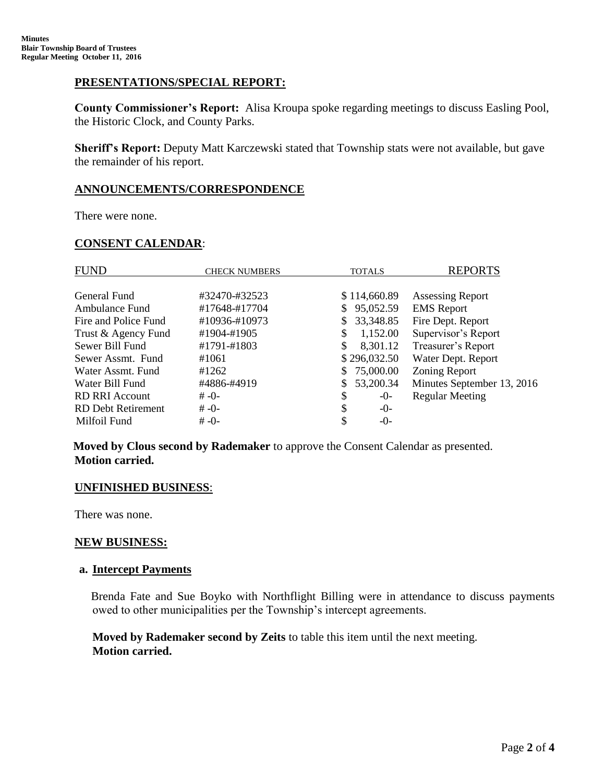## **PRESENTATIONS/SPECIAL REPORT:**

**County Commissioner's Report:** Alisa Kroupa spoke regarding meetings to discuss Easling Pool, the Historic Clock, and County Parks.

**Sheriff's Report:** Deputy Matt Karczewski stated that Township stats were not available, but gave the remainder of his report.

## **ANNOUNCEMENTS/CORRESPONDENCE**

There were none.

## **CONSENT CALENDAR**:

| <b>FUND</b>               | <b>CHECK NUMBERS</b> | <b>TOTALS</b>   | <b>REPORTS</b>             |
|---------------------------|----------------------|-----------------|----------------------------|
|                           |                      |                 |                            |
| General Fund              | #32470-#32523        | \$114,660.89    | <b>Assessing Report</b>    |
| Ambulance Fund            | #17648-#17704        | 95,052.59<br>S. | <b>EMS</b> Report          |
| Fire and Police Fund      | #10936-#10973        | 33,348.85<br>\$ | Fire Dept. Report          |
| Trust & Agency Fund       | #1904-#1905          | 1,152.00<br>\$  | Supervisor's Report        |
| Sewer Bill Fund           | #1791-#1803          | \$<br>8,301.12  | Treasurer's Report         |
| Sewer Assmt. Fund         | #1061                | \$296,032.50    | Water Dept. Report         |
| Water Assmt, Fund         | #1262                | 75,000.00<br>S. | <b>Zoning Report</b>       |
| Water Bill Fund           | #4886-#4919          | 53,200.34       | Minutes September 13, 2016 |
| <b>RD RRI Account</b>     | $# -0-$              | \$<br>$-0-$     | <b>Regular Meeting</b>     |
| <b>RD Debt Retirement</b> | $# -0-$              | \$<br>$-0-$     |                            |
| Milfoil Fund              | $# -0-$              | \$<br>$-0-$     |                            |

 **Moved by Clous second by Rademaker** to approve the Consent Calendar as presented. **Motion carried.**

#### **UNFINISHED BUSINESS**:

There was none.

#### **NEW BUSINESS:**

#### **a. Intercept Payments**

 Brenda Fate and Sue Boyko with Northflight Billing were in attendance to discuss payments owed to other municipalities per the Township's intercept agreements.

**Moved by Rademaker second by Zeits** to table this item until the next meeting. **Motion carried.**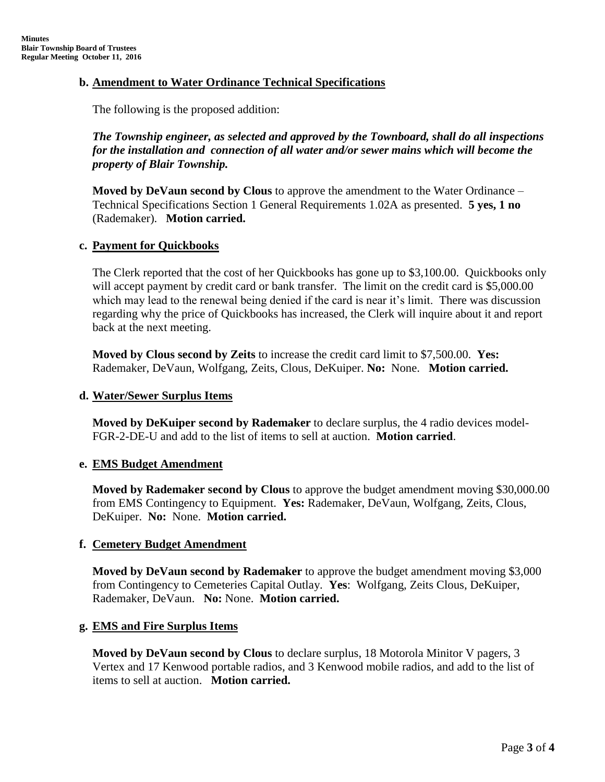## **b. Amendment to Water Ordinance Technical Specifications**

The following is the proposed addition:

*The Township engineer, as selected and approved by the Townboard, shall do all inspections for the installation and connection of all water and/or sewer mains which will become the property of Blair Township.* 

**Moved by DeVaun second by Clous** to approve the amendment to the Water Ordinance – Technical Specifications Section 1 General Requirements 1.02A as presented. **5 yes, 1 no** (Rademaker). **Motion carried.**

## **c. Payment for Quickbooks**

The Clerk reported that the cost of her Quickbooks has gone up to \$3,100.00. Quickbooks only will accept payment by credit card or bank transfer. The limit on the credit card is \$5,000.00 which may lead to the renewal being denied if the card is near it's limit. There was discussion regarding why the price of Quickbooks has increased, the Clerk will inquire about it and report back at the next meeting.

**Moved by Clous second by Zeits** to increase the credit card limit to \$7,500.00. **Yes:**  Rademaker, DeVaun, Wolfgang, Zeits, Clous, DeKuiper. **No:** None. **Motion carried.**

#### **d. Water/Sewer Surplus Items**

**Moved by DeKuiper second by Rademaker** to declare surplus, the 4 radio devices model-FGR-2-DE-U and add to the list of items to sell at auction. **Motion carried**.

## **e. EMS Budget Amendment**

**Moved by Rademaker second by Clous** to approve the budget amendment moving \$30,000.00 from EMS Contingency to Equipment. **Yes:** Rademaker, DeVaun, Wolfgang, Zeits, Clous, DeKuiper. **No:** None. **Motion carried.**

## **f. Cemetery Budget Amendment**

**Moved by DeVaun second by Rademaker** to approve the budget amendment moving \$3,000 from Contingency to Cemeteries Capital Outlay. **Yes**: Wolfgang, Zeits Clous, DeKuiper, Rademaker, DeVaun. **No:** None. **Motion carried.**

## **g. EMS and Fire Surplus Items**

**Moved by DeVaun second by Clous** to declare surplus, 18 Motorola Minitor V pagers, 3 Vertex and 17 Kenwood portable radios, and 3 Kenwood mobile radios, and add to the list of items to sell at auction. **Motion carried.**